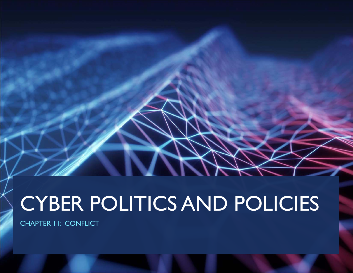# CYBER POLITICS AND POLICIES

CHAPTER 11: CONFLICT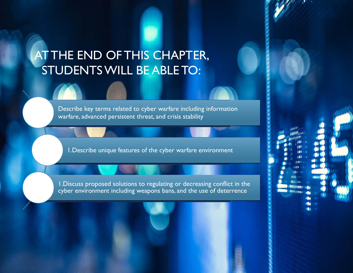# AT THE END OF THIS CHAPTER, STUDENTS WILL BE ABLE TO:

Describe key terms related to cyber warfare including information warfare, advanced persistent threat, and crisis stability

1.Describe unique features of the cyber warfare environment

1.Discuss proposed solutions to regulating or decreasing conflict in the cyber environment including weapons bans, and the use of deterrence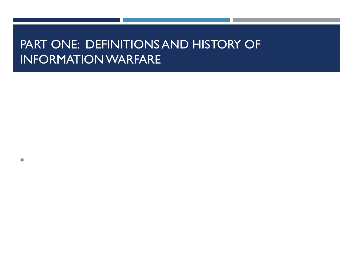# PART ONE: DEFINITIONS AND HISTORY OF INFORMATION WARFARE

 $\mathcal{L}_{\mathcal{A}}$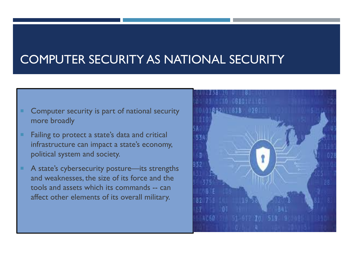# COMPUTER SECURITY AS NATIONAL SECURITY

- Computer security is part of national security more broadly
- Failing to protect a state's data and critical infrastructure can impact a state's economy, political system and society.
- A state's cybersecurity posture—its strengths and weaknesses, the size of its force and the tools and assets which its commands -- can affect other elements of its overall military.

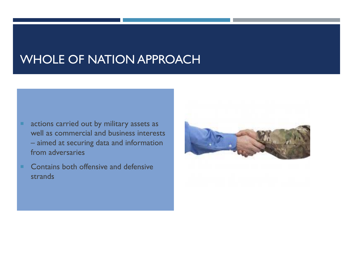### WHOLE OF NATION APPROACH

- ٠ actions carried out by military assets as well as commercial and business interests – aimed at securing data and information from adversaries
- п Contains both offensive and defensive strands

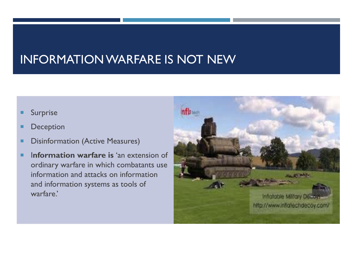# INFORMATION WARFARE IS NOT NEW

- п Surprise
- г Deception
- п Disinformation (Active Measures)
- ٠ I**nformation warfare is** 'an extension of ordinary warfare in which combatants use information and attacks on information and information systems as tools of warfare.'

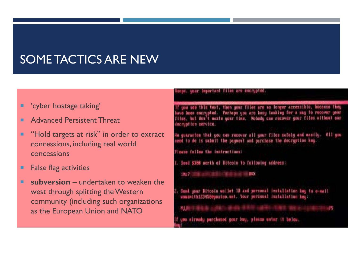# SOME TACTICS ARE NEW

- п 'cyber hostage taking'
- г Advanced Persistent Threat
- п "Hold targets at risk" in order to extract concessions, including real world concessions
- п False flag activities
- п ■ **subversion** – undertaken to weaken the west through splitting the Western community (including such organizations as the European Union and NATO

#### waar important films are escrypted.

f you see this tont, then your files are no longer accessible, because they<br>we been encrypted. Porhaps you are busy looking for a may 10 recover your Files, but don't weste your time. Mobody can recover your files without our decryption service.

He guarantee that you can recover all your files safely and masily. All you<br>meed to do is sakelt the payment and parchase the decryption key.

Fleate follow the instructions:

1. Seed \$380 worth of Bitcoin to following address:

14:7 Hamman Hall Millen and

Send your Bitcoin wallet 10 and personal installation hey to e-mail wousnithiz34550portuo.unt. Your personal installation key:

NJ JAMESHIRAHA ANGKO ATITIKALA SHIRAHA NJEREZA ATITIKALA NGA MATERIALA NA PISA - 15

If you alroady purchased your key, please enter it below.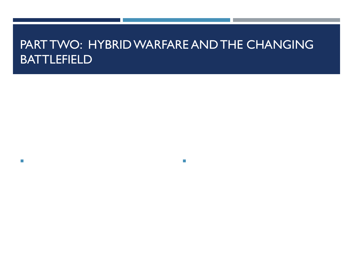## PART TWO: HYBRID WARFARE AND THE CHANGING BATTLEFIELD

 $\mathcal{C}$ 

 $\mathcal{C}$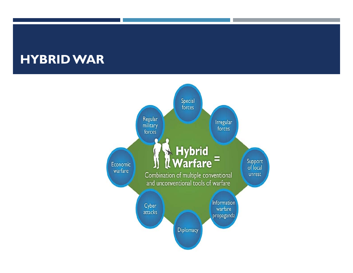# **HYBRID WAR**

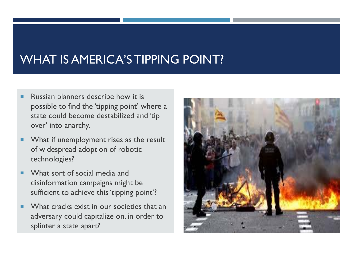# WHAT IS AMERICA'S TIPPING POINT?

- Г Russian planners describe how it is possible to find the 'tipping point' where a state could become destabilized and 'tip over' into anarchy.
- $\blacksquare$  What if unemployment rises as the result of widespread adoption of robotic technologies?
- What sort of social media and disinformation campaigns might be sufficient to achieve this 'tipping point'?
- п What cracks exist in our societies that an adversary could capitalize on, in order to splinter a state apart?

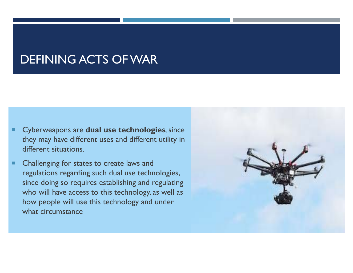### DEFINING ACTS OF WAR

- П Cyberweapons are **dual use technologies**, since they may have different uses and different utility in different situations.
- П Challenging for states to create laws and regulations regarding such dual use technologies, since doing so requires establishing and regulating who will have access to this technology, as well as how people will use this technology and under what circumstance

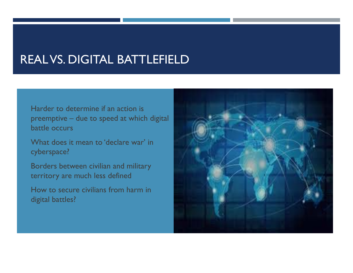## REAL VS. DIGITAL BATTLEFIELD

 Harder to determine if an action is preemptive – due to speed at which digital battle occurs

 What does it mean to 'declare war' in cyberspace?

 Borders between civilian and military territory are much less defined

 How to secure civilians from harm in digital battles?

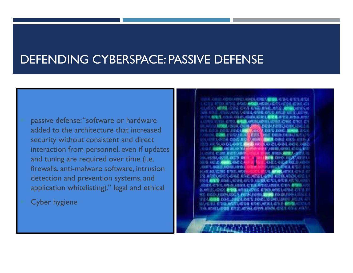# DEFENDING CYBERSPACE: PASSIVE DEFENSE

- passive defense: "software or hardware added to the architecture that increased security without consistent and direct interaction from personnel, even if updates and tuning are required over time (i.e. firewalls, anti-malware software, intrusion detection and prevention systems, and application whitelisting)." legal and ethical
- Cyber hygiene

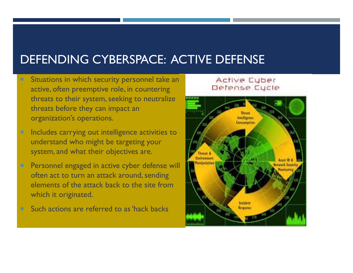# DEFENDING CYBERSPACE: ACTIVE DEFENSE

- Situations in which security personnel take an active, often preemptive role, in countering threats to their system, seeking to neutralize threats before they can impact an organization's operations.
- $\blacksquare$  Includes carrying out intelligence activities to understand who might be targeting your system, and what their objectives are.
- $\blacksquare$  Personnel engaged in active cyber defense will often act to turn an attack around, sending elements of the attack back to the site from which it originated.
- Such actions are referred to as 'hack backs

#### Active Cuber Defense Cycle

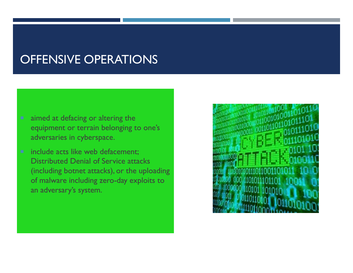# OFFENSIVE OPERATIONS

- aimed at defacing or altering the equipment or terrain belonging to one's adversaries in cyberspace.
- include acts like web defacement; Distributed Denial of Service attacks (including botnet attacks), or the uploading of malware including zero-day exploits to an adversary's system.

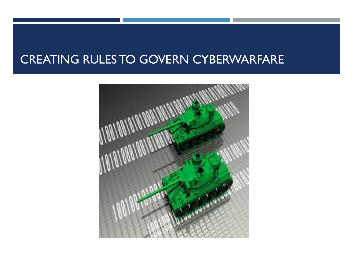# CREATING RULES TO GOVERN CYBERWARFARE

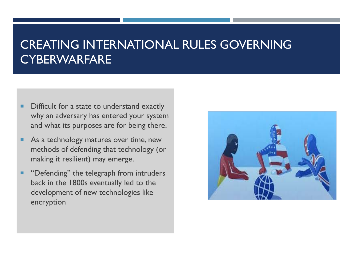# CREATING INTERNATIONAL RULES GOVERNING CYBERWARFARE

- п Difficult for a state to understand exactly why an adversary has entered your system and what its purposes are for being there.
- п As a technology matures over time, new methods of defending that technology (or making it resilient) may emerge.
- ٠ "Defending" the telegraph from intruders back in the 1800s eventually led to the development of new technologies like encryption

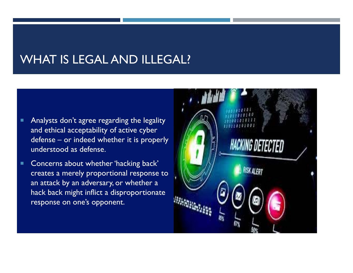# WHAT IS LEGAL AND ILLEGAL?

- п Analysts don't agree regarding the legality and ethical acceptability of active cyber defense – or indeed whether it is properly understood as defense.
- п Concerns about whether 'hacking back' creates a merely proportional response to an attack by an adversary, or whether a hack back might inflict a disproportionate response on one's opponent.

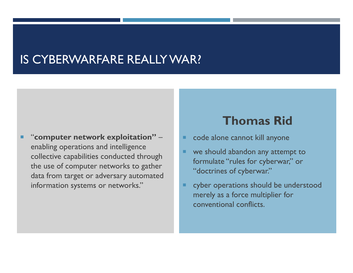### IS CYBERWARFARE REALLY WAR?

"**computer network exploitation"** – enabling operations and intelligence collective capabilities conducted through the use of computer networks to gather data from target or adversary automated information systems or networks."

#### **Thomas Rid**

- code alone cannot kill anyone
- we should abandon any attempt to formulate "rules for cyberwar," or "doctrines of cyberwar."
- cyber operations should be understood merely as a force multiplier for conventional conflicts.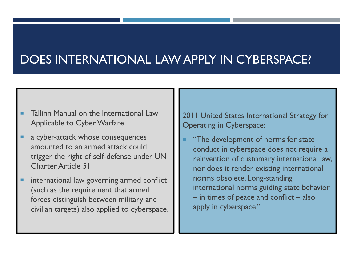# DOES INTERNATIONAL LAW APPLY IN CYBERSPACE?

- Tallinn Manual on the International Law Applicable to Cyber Warfare
- ٠ a cyber-attack whose consequences amounted to an armed attack could trigger the right of self-defense under UN Charter Article 51
- п international law governing armed conflict (such as the requirement that armed forces distinguish between military and civilian targets) also applied to cyberspace.

2011 United States International Strategy for Operating in Cyberspace:

٠ "The development of norms for state conduct in cyberspace does not require a reinvention of customary international law, nor does it render existing international norms obsolete. Long-standing international norms guiding state behavior – in times of peace and conflict – also apply in cyberspace."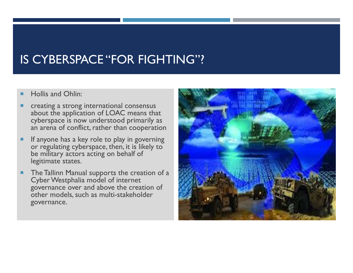# IS CYBERSPACE "FOR FIGHTING"?

- L Hollis and Ohlin:
- П creating a strong international consensus about the application of LOAC means that cyberspace is now understood primarily as an arena of conflict, rather than cooperation
- ٠ If anyone has a key role to play in governing or regulating cyberspace, then, it is likely to be military actors acting on behalf of legitimate states.
- ٠ The Tallinn Manual supports the creation of a Cyber Westphalia model of internet governance over and above the creation of other models, such as multi-stakeholder governance.

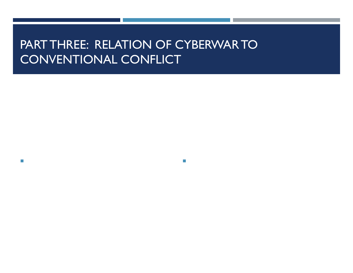# PART THREE: RELATION OF CYBERWAR TO CONVENTIONAL CONFLICT

m.

 $\mathcal{L}_{\mathcal{A}}$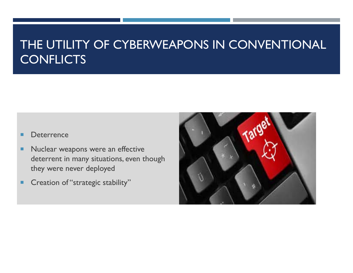# THE UTILITY OF CYBERWEAPONS IN CONVENTIONAL CONFLICTS

#### **Deterrence**

- ٠ Nuclear weapons were an effective deterrent in many situations, even though they were never deployed
- п Creation of "strategic stability"

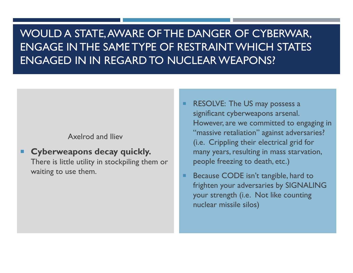#### WOULD A STATE, AWARE OF THE DANGER OF CYBERWAR, ENGAGE IN THE SAME TYPE OF RESTRAINT WHICH STATES ENGAGED IN IN REGARD TO NUCLEAR WEAPONS?

#### Axelrod and Iliev

#### **Cyberweapons decay quickly.**

There is little utility in stockpiling them or waiting to use them.

- RESOLVE: The US may possess a significant cyberweapons arsenal. However, are we committed to engaging in "massive retaliation" against adversaries? (i.e. Crippling their electrical grid for many years, resulting in mass starvation, people freezing to death, etc.)
- Because CODE isn't tangible, hard to frighten your adversaries by SIGNALING your strength (i.e. Not like counting nuclear missile silos)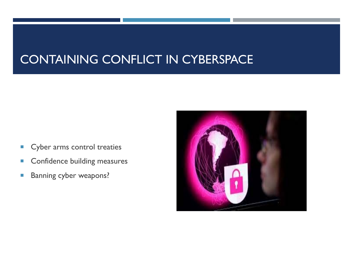# CONTAINING CONFLICT IN CYBERSPACE

- $\vert \cdot \vert$ Cyber arms control treaties
- $\vert \cdot \vert$ Confidence building measures
- $\vert \cdot \vert$ Banning cyber weapons?